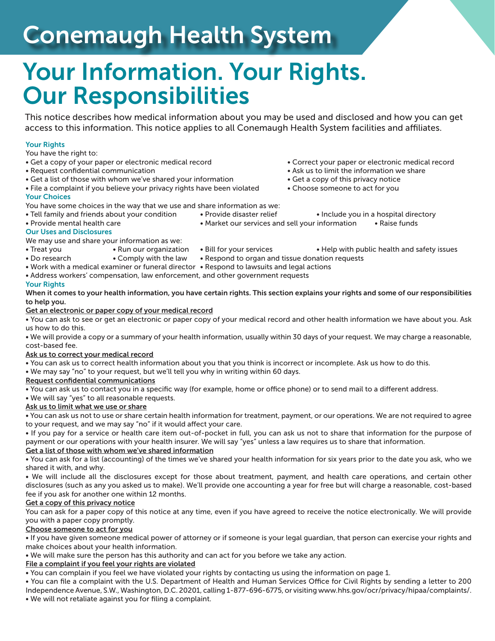# Conemaugh Health System

## Your Information. Your Rights. Our Responsibilities

This notice describes how medical information about you may be used and disclosed and how you can get access to this information. This notice applies to all Conemaugh Health System facilities and affiliates.

## Your Rights

You have the right to:

- Get a copy of your paper or electronic medical record Correct your paper or electronic medical record
- Request confidential communication Ask us to limit the information we share
- Get a list of those with whom we've shared your information Get a copy of this privacy notice
- File a complaint if you believe your privacy rights have been violated Choose someone to act for you Your Choices
- You have some choices in the way that we use and share information as we:
- Tell family and friends about your condition Provide disaster relief Include you in a hospital directory
- -

## Our Uses and Disclosures

We may use and share your information as we:

- 
- Treat you Run our organization Bill for your services Help with public health and safety issues
- Do research Comply with the law Respond to organ and tissue donation requests
- Work with a medical examiner or funeral director Respond to lawsuits and legal actions
- Address workers' compensation, law enforcement, and other government requests

## Your Rights

When it comes to your health information, you have certain rights. This section explains your rights and some of our responsibilities to help you.

### Get an electronic or paper copy of your medical record

• You can ask to see or get an electronic or paper copy of your medical record and other health information we have about you. Ask us how to do this.

• We will provide a copy or a summary of your health information, usually within 30 days of your request. We may charge a reasonable, cost-based fee.

### Ask us to correct your medical record

• You can ask us to correct health information about you that you think is incorrect or incomplete. Ask us how to do this.

• We may say "no" to your request, but we'll tell you why in writing within 60 days.

### Request confidential communications

• You can ask us to contact you in a specific way (for example, home or office phone) or to send mail to a different address.

### • We will say "yes" to all reasonable requests.

## Ask us to limit what we use or share

• You can ask us not to use or share certain health information for treatment, payment, or our operations. We are not required to agree to your request, and we may say "no" if it would affect your care.

• If you pay for a service or health care item out-of-pocket in full, you can ask us not to share that information for the purpose of payment or our operations with your health insurer. We will say "yes" unless a law requires us to share that information. Get a list of those with whom we've shared information

• You can ask for a list (accounting) of the times we've shared your health information for six years prior to the date you ask, who we shared it with, and why.

• We will include all the disclosures except for those about treatment, payment, and health care operations, and certain other disclosures (such as any you asked us to make). We'll provide one accounting a year for free but will charge a reasonable, cost-based fee if you ask for another one within 12 months.

## Get a copy of this privacy notice

You can ask for a paper copy of this notice at any time, even if you have agreed to receive the notice electronically. We will provide you with a paper copy promptly.

### Choose someone to act for you

• If you have given someone medical power of attorney or if someone is your legal guardian, that person can exercise your rights and make choices about your health information.

• We will make sure the person has this authority and can act for you before we take any action.

### File a complaint if you feel your rights are violated

• You can complain if you feel we have violated your rights by contacting us using the information on page 1.

• You can file a complaint with the U.S. Department of Health and Human Services Office for Civil Rights by sending a letter to 200 Independence Avenue, S.W., Washington, D.C. 20201, calling 1-877-696-6775, or visiting www.hhs.gov/ocr/privacy/hipaa/complaints/. • We will not retaliate against you for filing a complaint.

- 
- 
- -
- Provide mental health care The version Market our services and sell your information Raise funds
	-